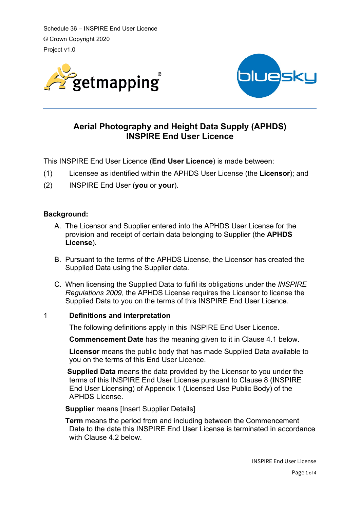Schedule 36 – INSPIRE End User Licence © Crown Copyright 2020 Project v1.0





# **Aerial Photography and Height Data Supply (APHDS) INSPIRE End User Licence**

This INSPIRE End User Licence (**End User Licence**) is made between:

- (1) Licensee as identified within the APHDS User License (the **Licensor**); and
- (2) INSPIRE End User (**you** or **your**).

### **Background:**

- A. The Licensor and Supplier entered into the APHDS User License for the provision and receipt of certain data belonging to Supplier (the **APHDS License**).
- B. Pursuant to the terms of the APHDS License, the Licensor has created the Supplied Data using the Supplier data.
- C. When licensing the Supplied Data to fulfil its obligations under the *INSPIRE Regulations 2009*, the APHDS License requires the Licensor to license the Supplied Data to you on the terms of this INSPIRE End User Licence.

### 1 **Definitions and interpretation**

The following definitions apply in this INSPIRE End User Licence.

**Commencement Date** has the meaning given to it in Clause 4.1 below.

**Licensor** means the public body that has made Supplied Data available to you on the terms of this End User Licence.

**Supplied Data** means the data provided by the Licensor to you under the terms of this INSPIRE End User License pursuant to Clause 8 (INSPIRE End User Licensing) of Appendix 1 (Licensed Use Public Body) of the APHDS License.

**Supplier** means [Insert Supplier Details]

**Term** means the period from and including between the Commencement Date to the date this INSPIRE End User License is terminated in accordance with Clause 4.2 below.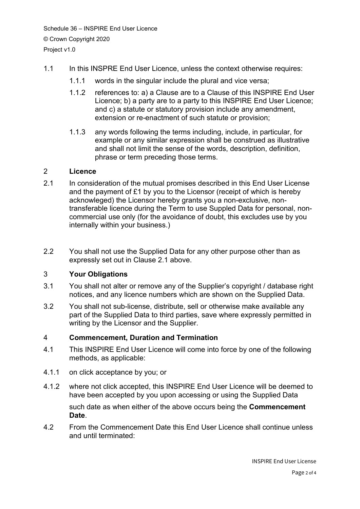- 1.1 In this INSPRE End User Licence, unless the context otherwise requires:
	- 1.1.1 words in the singular include the plural and vice versa;
	- 1.1.2 references to: a) a Clause are to a Clause of this INSPIRE End User Licence; b) a party are to a party to this INSPIRE End User Licence; and c) a statute or statutory provision include any amendment, extension or re-enactment of such statute or provision;
	- 1.1.3 any words following the terms including, include, in particular, for example or any similar expression shall be construed as illustrative and shall not limit the sense of the words, description, definition, phrase or term preceding those terms.

#### 2 **Licence**

- 2.1 In consideration of the mutual promises described in this End User License and the payment of £1 by you to the Licensor (receipt of which is hereby acknowleged) the Licensor hereby grants you a non-exclusive, nontransferable licence during the Term to use Suppled Data for personal, noncommercial use only (for the avoidance of doubt, this excludes use by you internally within your business.)
- 2.2 You shall not use the Supplied Data for any other purpose other than as expressly set out in Clause 2.1 above.

### 3 **Your Obligations**

- 3.1 You shall not alter or remove any of the Supplier's copyright / database right notices, and any licence numbers which are shown on the Supplied Data.
- 3.2 You shall not sub-license, distribute, sell or otherwise make available any part of the Supplied Data to third parties, save where expressly permitted in writing by the Licensor and the Supplier.

#### 4 **Commencement, Duration and Termination**

- 4.1 This INSPIRE End User Licence will come into force by one of the following methods, as applicable:
- 4.1.1 on click acceptance by you; or
- 4.1.2 where not click accepted, this INSPIRE End User Licence will be deemed to have been accepted by you upon accessing or using the Supplied Data such date as when either of the above occurs being the **Commencement Date**.
- 4.2 From the Commencement Date this End User Licence shall continue unless and until terminated: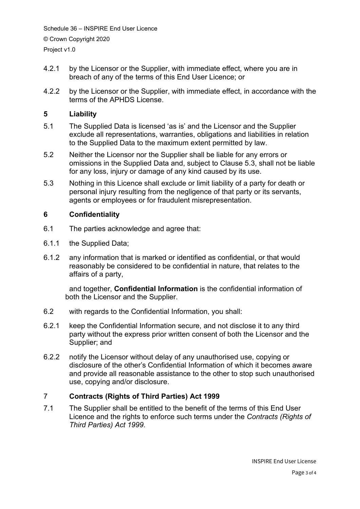Schedule 36 – INSPIRE End User Licence © Crown Copyright 2020 Project v1.0

- 4.2.1 by the Licensor or the Supplier, with immediate effect, where you are in breach of any of the terms of this End User Licence; or
- 4.2.2 by the Licensor or the Supplier, with immediate effect, in accordance with the terms of the APHDS License.

# **5 Liability**

- 5.1 The Supplied Data is licensed 'as is' and the Licensor and the Supplier exclude all representations, warranties, obligations and liabilities in relation to the Supplied Data to the maximum extent permitted by law.
- 5.2 Neither the Licensor nor the Supplier shall be liable for any errors or omissions in the Supplied Data and, subject to Clause 5.3, shall not be liable for any loss, injury or damage of any kind caused by its use.
- 5.3 Nothing in this Licence shall exclude or limit liability of a party for death or personal injury resulting from the negligence of that party or its servants, agents or employees or for fraudulent misrepresentation.

# **6 Confidentiality**

- 6.1 The parties acknowledge and agree that:
- 6.1.1 the Supplied Data;
- 6.1.2 any information that is marked or identified as confidential, or that would reasonably be considered to be confidential in nature, that relates to the affairs of a party,

and together, **Confidential Information** is the confidential information of both the Licensor and the Supplier.

- 6.2 with regards to the Confidential Information, you shall:
- 6.2.1 keep the Confidential Information secure, and not disclose it to any third party without the express prior written consent of both the Licensor and the Supplier; and
- 6.2.2 notify the Licensor without delay of any unauthorised use, copying or disclosure of the other's Confidential Information of which it becomes aware and provide all reasonable assistance to the other to stop such unauthorised use, copying and/or disclosure.

# 7 **Contracts (Rights of Third Parties) Act 1999**

7.1 The Supplier shall be entitled to the benefit of the terms of this End User Licence and the rights to enforce such terms under the *Contracts (Rights of Third Parties) Act 1999*.